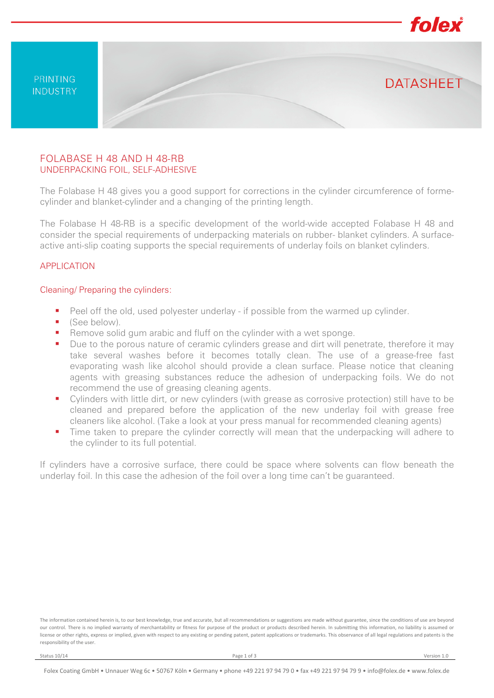

## FOLABASE H 48 AND H 48-RB UNDERPACKING FOIL, SELF-ADHESIVE

The Folabase H 48 gives you a good support for corrections in the cylinder circumference of formecylinder and blanket-cylinder and a changing of the printing length.

The Folabase H 48-RB is a specific development of the world-wide accepted Folabase H 48 and consider the special requirements of underpacking materials on rubber- blanket cylinders. A surfaceactive anti-slip coating supports the special requirements of underlay foils on blanket cylinders.

### APPLICATION

#### Cleaning/ Preparing the cylinders:

- Peel off the old, used polyester underlay if possible from the warmed up cylinder.
- (See below).
- Remove solid gum arabic and fluff on the cylinder with a wet sponge.
- **Due to the porous nature of ceramic cylinders grease and dirt will penetrate, therefore it may** take several washes before it becomes totally clean. The use of a grease-free fast evaporating wash like alcohol should provide a clean surface. Please notice that cleaning agents with greasing substances reduce the adhesion of underpacking foils. We do not recommend the use of greasing cleaning agents.
- Cylinders with little dirt, or new cylinders (with grease as corrosive protection) still have to be cleaned and prepared before the application of the new underlay foil with grease free cleaners like alcohol. (Take a look at your press manual for recommended cleaning agents)
- Time taken to prepare the cylinder correctly will mean that the underpacking will adhere to the cylinder to its full potential.

If cylinders have a corrosive surface, there could be space where solvents can flow beneath the underlay foil. In this case the adhesion of the foil over a long time can't be guaranteed.

The information contained herein is, to our best knowledge, true and accurate, but all recommendations or suggestions are made without guarantee, since the conditions of use are beyond our control. There is no implied warranty of merchantability or fitness for purpose of the product or products described herein. In submitting this information, no liability is assumed or license or other rights, express or implied, given with respect to any existing or pending patent, patent applications or trademarks. This observance of all legal regulations and patents is the responsibility of the user.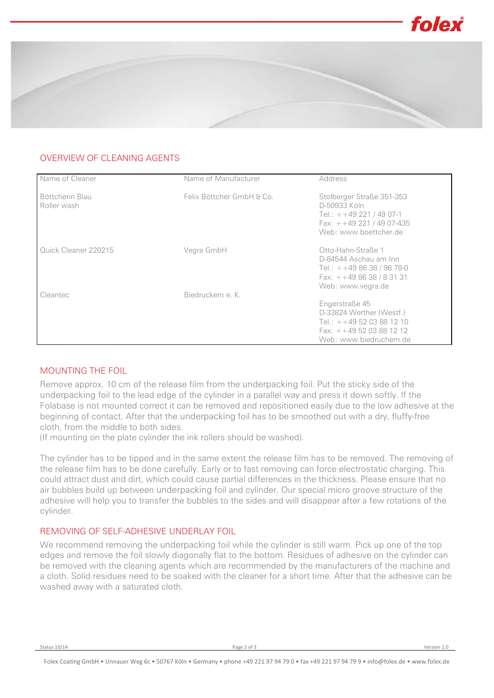

# OVERVIEW OF CLEANING AGENTS

| Name of Cleaner                | Name of Manufacturer      | Address                                                                                                                        |
|--------------------------------|---------------------------|--------------------------------------------------------------------------------------------------------------------------------|
| Böttcherin Blau<br>Roller wash | Felix Böttcher GmbH & Co. | Stolberger Straße 351-353<br>D-50933 Köln<br>Tel.: $+ + 49221 / 4907 - 1$<br>Fax: $+ +49221/4907-435$<br>Web: www.boettcher.de |
| Quick Cleaner 220215           | Vegra GmbH                | Otto-Hahn-Straße 1<br>D-84544 Aschau am Inn<br>Tel.: $++498638/9678-0$<br>Fax: $+ +498638/83131$<br>Web: www.vegra.de          |
| Cleantec                       | Biedruckem e. K.          |                                                                                                                                |
|                                |                           | Engerstraße 45<br>D-33824 Werther (Westf.)<br>Tel.: $++495203881210$<br>Fax: $+ +495203881212$<br>Web: www.biedruchem.de       |

## MOUNTING THE FOIL

Remove approx. 10 cm of the release film from the underpacking foil. Put the sticky side of the underpacking foil to the lead edge of the cylinder in a parallel way and press it down softly. If the Folabase is not mounted correct it can be removed and repositioned easily due to the low adhesive at the beginning of contact. After that the underpacking foil has to be smoothed out with a dry, fluffy-free cloth, from the middle to both sides.

(If mounting on the plate cylinder the ink rollers should be washed).

The cylinder has to be tipped and in the same extent the release film has to be removed. The removing of the release film has to be done carefully. Early or to fast removing can force electrostatic charging. This could attract dust and dirt, which could cause partial differences in the thickness. Please ensure that no air bubbles build up between underpacking foil and cylinder. Our special micro groove structure of the adhesive will help you to transfer the bubbles to the sides and will disappear after a few rotations of the cylinder.

### REMOVING OF SELF-ADHESIVE UNDERLAY FOIL

We recommend removing the underpacking foil while the cylinder is still warm. Pick up one of the top edges and remove the foil slowly diagonally flat to the bottom. Residues of adhesive on the cylinder can be removed with the cleaning agents which are recommended by the manufacturers of the machine and a cloth. Solid residues need to be soaked with the cleaner for a short time. After that the adhesive can be washed away with a saturated cloth.